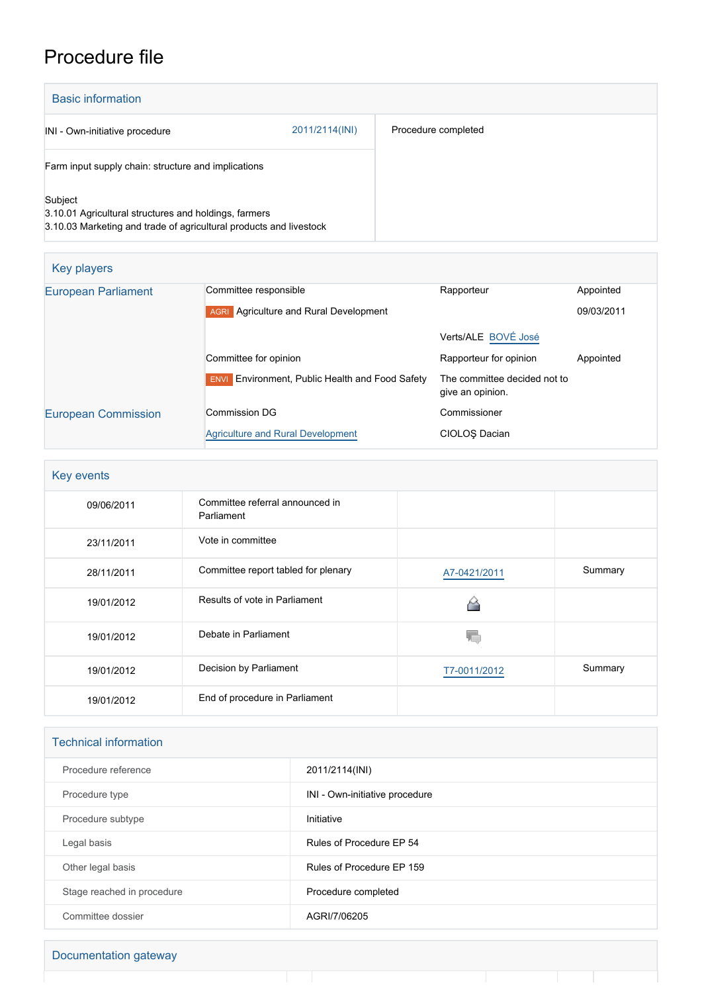# Procedure file

| <b>Basic information</b>                                                                                                               |                |                     |
|----------------------------------------------------------------------------------------------------------------------------------------|----------------|---------------------|
| INI - Own-initiative procedure                                                                                                         | 2011/2114(INI) | Procedure completed |
| Farm input supply chain: structure and implications                                                                                    |                |                     |
| Subject<br>3.10.01 Agricultural structures and holdings, farmers<br>3.10.03 Marketing and trade of agricultural products and livestock |                |                     |

| Key players                |                                                        |                                                  |            |
|----------------------------|--------------------------------------------------------|--------------------------------------------------|------------|
| <b>European Parliament</b> | Committee responsible                                  | Rapporteur                                       | Appointed  |
|                            | <b>AGRI</b> Agriculture and Rural Development          |                                                  | 09/03/2011 |
|                            |                                                        | Verts/ALE BOVÉ José                              |            |
|                            | Committee for opinion                                  | Rapporteur for opinion                           | Appointed  |
|                            | <b>ENVI</b> Environment, Public Health and Food Safety | The committee decided not to<br>give an opinion. |            |
| <b>European Commission</b> | Commission DG                                          | Commissioner                                     |            |
|                            | <b>Agriculture and Rural Development</b>               | CIOLOS Dacian                                    |            |

| Key events |                                               |              |         |  |
|------------|-----------------------------------------------|--------------|---------|--|
| 09/06/2011 | Committee referral announced in<br>Parliament |              |         |  |
| 23/11/2011 | Vote in committee                             |              |         |  |
| 28/11/2011 | Committee report tabled for plenary           | A7-0421/2011 | Summary |  |
| 19/01/2012 | Results of vote in Parliament                 |              |         |  |
| 19/01/2012 | Debate in Parliament                          |              |         |  |
| 19/01/2012 | Decision by Parliament                        | T7-0011/2012 | Summary |  |
| 19/01/2012 | End of procedure in Parliament                |              |         |  |

| <b>Technical information</b> |                                |  |  |
|------------------------------|--------------------------------|--|--|
| Procedure reference          | 2011/2114(INI)                 |  |  |
| Procedure type               | INI - Own-initiative procedure |  |  |
| Procedure subtype            | Initiative                     |  |  |
| Legal basis                  | Rules of Procedure EP 54       |  |  |
| Other legal basis            | Rules of Procedure EP 159      |  |  |
| Stage reached in procedure   | Procedure completed            |  |  |
| Committee dossier            | AGRI/7/06205                   |  |  |

Τ

Т

Τ

т Т

## Documentation gateway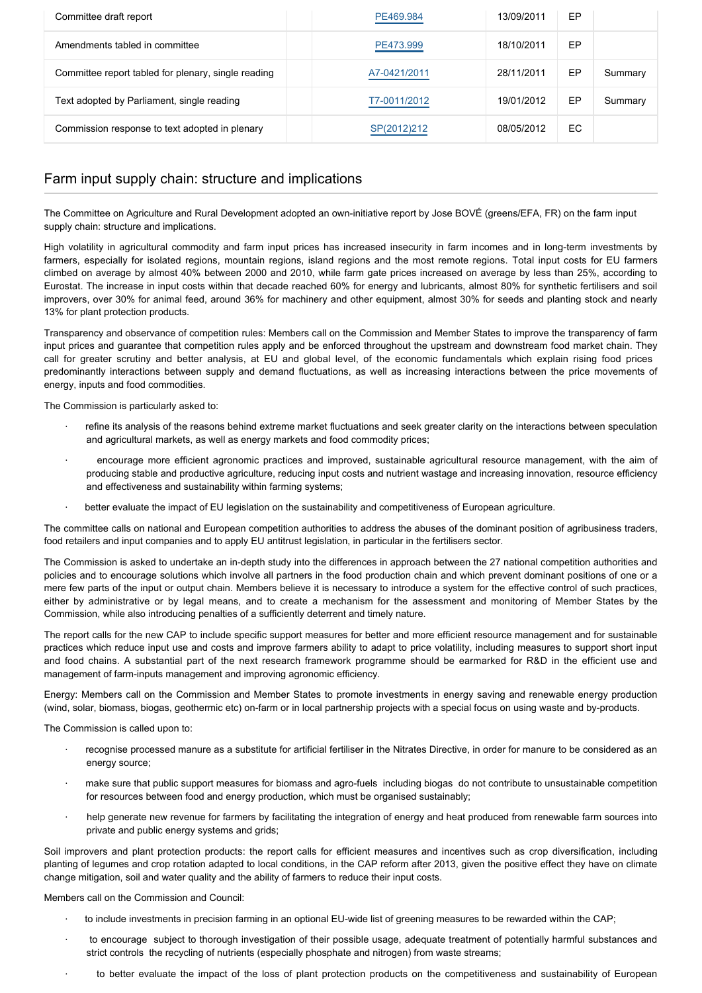| Committee draft report                              | PE469.984    | 13/09/2011 | EP |         |
|-----------------------------------------------------|--------------|------------|----|---------|
| Amendments tabled in committee                      | PE473.999    | 18/10/2011 | EP |         |
| Committee report tabled for plenary, single reading | A7-0421/2011 | 28/11/2011 | EP | Summary |
| Text adopted by Parliament, single reading          | T7-0011/2012 | 19/01/2012 | EP | Summary |
| Commission response to text adopted in plenary      | SP(2012)212  | 08/05/2012 | EC |         |

## Farm input supply chain: structure and implications

The Committee on Agriculture and Rural Development adopted an own-initiative report by Jose BOVÉ (greens/EFA, FR) on the farm input supply chain: structure and implications.

High volatility in agricultural commodity and farm input prices has increased insecurity in farm incomes and in long-term investments by farmers, especially for isolated regions, mountain regions, island regions and the most remote regions. Total input costs for EU farmers climbed on average by almost 40% between 2000 and 2010, while farm gate prices increased on average by less than 25%, according to Eurostat. The increase in input costs within that decade reached 60% for energy and lubricants, almost 80% for synthetic fertilisers and soil improvers, over 30% for animal feed, around 36% for machinery and other equipment, almost 30% for seeds and planting stock and nearly 13% for plant protection products.

Transparency and observance of competition rules: Members call on the Commission and Member States to improve the transparency of farm input prices and guarantee that competition rules apply and be enforced throughout the upstream and downstream food market chain. They call for greater scrutiny and better analysis, at EU and global level, of the economic fundamentals which explain rising food prices predominantly interactions between supply and demand fluctuations, as well as increasing interactions between the price movements of energy, inputs and food commodities.

The Commission is particularly asked to:

- · refine its analysis of the reasons behind extreme market fluctuations and seek greater clarity on the interactions between speculation and agricultural markets, as well as energy markets and food commodity prices;
- · encourage more efficient agronomic practices and improved, sustainable agricultural resource management, with the aim of producing stable and productive agriculture, reducing input costs and nutrient wastage and increasing innovation, resource efficiency and effectiveness and sustainability within farming systems;
- · better evaluate the impact of EU legislation on the sustainability and competitiveness of European agriculture.

The committee calls on national and European competition authorities to address the abuses of the dominant position of agribusiness traders, food retailers and input companies and to apply EU antitrust legislation, in particular in the fertilisers sector.

The Commission is asked to undertake an in-depth study into the differences in approach between the 27 national competition authorities and policies and to encourage solutions which involve all partners in the food production chain and which prevent dominant positions of one or a mere few parts of the input or output chain. Members believe it is necessary to introduce a system for the effective control of such practices, either by administrative or by legal means, and to create a mechanism for the assessment and monitoring of Member States by the Commission, while also introducing penalties of a sufficiently deterrent and timely nature.

The report calls for the new CAP to include specific support measures for better and more efficient resource management and for sustainable practices which reduce input use and costs and improve farmers ability to adapt to price volatility, including measures to support short input and food chains. A substantial part of the next research framework programme should be earmarked for R&D in the efficient use and management of farm-inputs management and improving agronomic efficiency.

Energy: Members call on the Commission and Member States to promote investments in energy saving and renewable energy production (wind, solar, biomass, biogas, geothermic etc) on-farm or in local partnership projects with a special focus on using waste and by-products.

The Commission is called upon to:

- · recognise processed manure as a substitute for artificial fertiliser in the Nitrates Directive, in order for manure to be considered as an energy source;
- make sure that public support measures for biomass and agro-fuels including biogas do not contribute to unsustainable competition for resources between food and energy production, which must be organised sustainably;
- help generate new revenue for farmers by facilitating the integration of energy and heat produced from renewable farm sources into private and public energy systems and grids;

Soil improvers and plant protection products: the report calls for efficient measures and incentives such as crop diversification, including planting of legumes and crop rotation adapted to local conditions, in the CAP reform after 2013, given the positive effect they have on climate change mitigation, soil and water quality and the ability of farmers to reduce their input costs.

Members call on the Commission and Council:

- · to include investments in precision farming in an optional EU-wide list of greening measures to be rewarded within the CAP;
- to encourage subject to thorough investigation of their possible usage, adequate treatment of potentially harmful substances and strict controls the recycling of nutrients (especially phosphate and nitrogen) from waste streams;
- to better evaluate the impact of the loss of plant protection products on the competitiveness and sustainability of European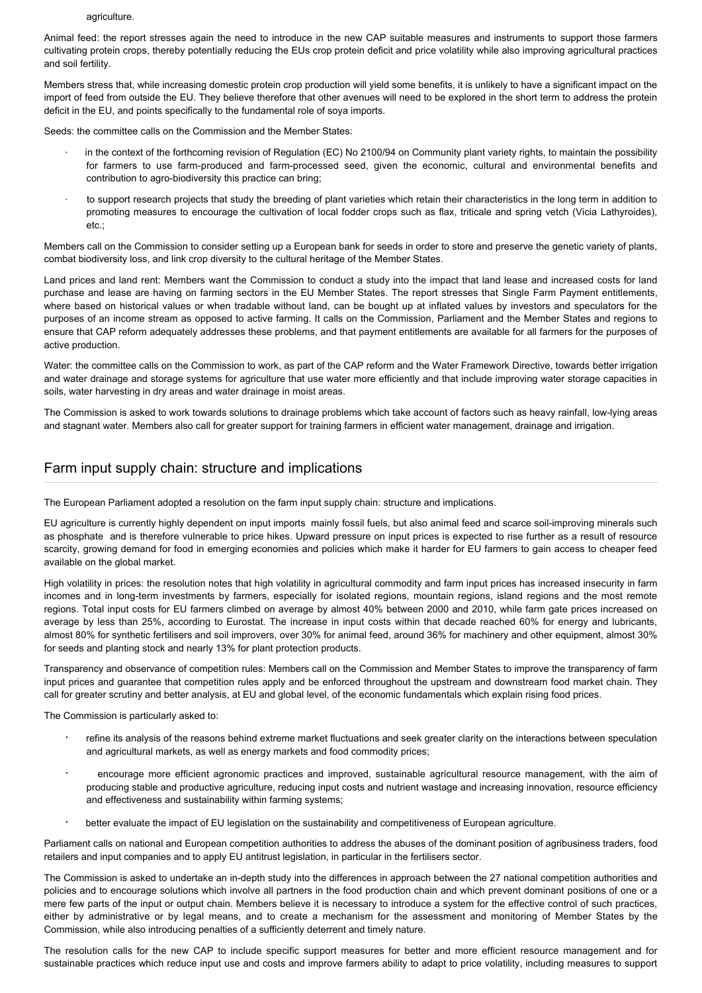#### agriculture.

Animal feed: the report stresses again the need to introduce in the new CAP suitable measures and instruments to support those farmers cultivating protein crops, thereby potentially reducing the EUs crop protein deficit and price volatility while also improving agricultural practices and soil fertility.

Members stress that, while increasing domestic protein crop production will yield some benefits, it is unlikely to have a significant impact on the import of feed from outside the EU. They believe therefore that other avenues will need to be explored in the short term to address the protein deficit in the EU, and points specifically to the fundamental role of soya imports.

Seeds: the committee calls on the Commission and the Member States:

- in the context of the forthcoming revision of Regulation (EC) No 2100/94 on Community plant variety rights, to maintain the possibility for farmers to use farm-produced and farm-processed seed, given the economic, cultural and environmental benefits and contribution to agro-biodiversity this practice can bring;
- · to support research projects that study the breeding of plant varieties which retain their characteristics in the long term in addition to promoting measures to encourage the cultivation of local fodder crops such as flax, triticale and spring vetch (Vicia Lathyroides), etc.;

Members call on the Commission to consider setting up a European bank for seeds in order to store and preserve the genetic variety of plants, combat biodiversity loss, and link crop diversity to the cultural heritage of the Member States.

Land prices and land rent: Members want the Commission to conduct a study into the impact that land lease and increased costs for land purchase and lease are having on farming sectors in the EU Member States. The report stresses that Single Farm Payment entitlements, where based on historical values or when tradable without land, can be bought up at inflated values by investors and speculators for the purposes of an income stream as opposed to active farming. It calls on the Commission, Parliament and the Member States and regions to ensure that CAP reform adequately addresses these problems, and that payment entitlements are available for all farmers for the purposes of active production.

Water: the committee calls on the Commission to work, as part of the CAP reform and the Water Framework Directive, towards better irrigation and water drainage and storage systems for agriculture that use water more efficiently and that include improving water storage capacities in soils, water harvesting in dry areas and water drainage in moist areas.

The Commission is asked to work towards solutions to drainage problems which take account of factors such as heavy rainfall, low-lying areas and stagnant water. Members also call for greater support for training farmers in efficient water management, drainage and irrigation.

#### Farm input supply chain: structure and implications

The European Parliament adopted a resolution on the farm input supply chain: structure and implications.

EU agriculture is currently highly dependent on input imports mainly fossil fuels, but also animal feed and scarce soil-improving minerals such as phosphate and is therefore vulnerable to price hikes. Upward pressure on input prices is expected to rise further as a result of resource scarcity, growing demand for food in emerging economies and policies which make it harder for EU farmers to gain access to cheaper feed available on the global market.

High volatility in prices: the resolution notes that high volatility in agricultural commodity and farm input prices has increased insecurity in farm incomes and in long-term investments by farmers, especially for isolated regions, mountain regions, island regions and the most remote regions. Total input costs for EU farmers climbed on average by almost 40% between 2000 and 2010, while farm gate prices increased on average by less than 25%, according to Eurostat. The increase in input costs within that decade reached 60% for energy and lubricants, almost 80% for synthetic fertilisers and soil improvers, over 30% for animal feed, around 36% for machinery and other equipment, almost 30% for seeds and planting stock and nearly 13% for plant protection products.

Transparency and observance of competition rules: Members call on the Commission and Member States to improve the transparency of farm input prices and guarantee that competition rules apply and be enforced throughout the upstream and downstream food market chain. They call for greater scrutiny and better analysis, at EU and global level, of the economic fundamentals which explain rising food prices.

The Commission is particularly asked to:

- · refine its analysis of the reasons behind extreme market fluctuations and seek greater clarity on the interactions between speculation and agricultural markets, as well as energy markets and food commodity prices;
- · encourage more efficient agronomic practices and improved, sustainable agricultural resource management, with the aim of producing stable and productive agriculture, reducing input costs and nutrient wastage and increasing innovation, resource efficiency and effectiveness and sustainability within farming systems;
- better evaluate the impact of EU legislation on the sustainability and competitiveness of European agriculture.

Parliament calls on national and European competition authorities to address the abuses of the dominant position of agribusiness traders, food retailers and input companies and to apply EU antitrust legislation, in particular in the fertilisers sector.

The Commission is asked to undertake an in-depth study into the differences in approach between the 27 national competition authorities and policies and to encourage solutions which involve all partners in the food production chain and which prevent dominant positions of one or a mere few parts of the input or output chain. Members believe it is necessary to introduce a system for the effective control of such practices, either by administrative or by legal means, and to create a mechanism for the assessment and monitoring of Member States by the Commission, while also introducing penalties of a sufficiently deterrent and timely nature.

The resolution calls for the new CAP to include specific support measures for better and more efficient resource management and for sustainable practices which reduce input use and costs and improve farmers ability to adapt to price volatility, including measures to support